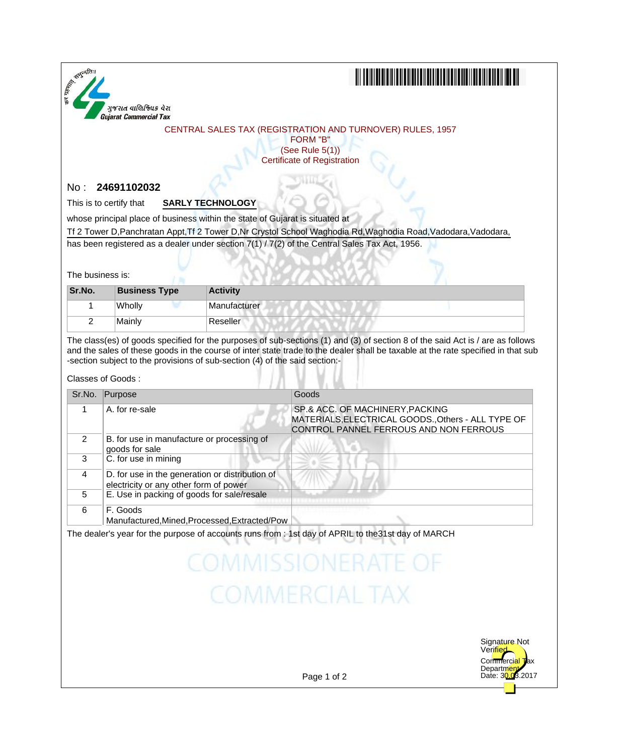

## <u> III de la contrada de la contrada de la contrada de la contrada de la contrada de la contrada de la contrada</u>

### CENTRAL SALES TAX (REGISTRATION AND TURNOVER) RULES, 1957

FORM "B" (See Rule 5(1)) Certificate of Registration

### No : **24691102032**

This is to certify that **SARLY TECHNOLOGY**

whose principal place of business within the state of Gujarat is situated at

Tf 2 Tower D, Panchratan Appt, Tf 2 Tower D, Nr Crystol School Waghodia Rd, Waghodia Road, Vadodara, Vadodara,

has been registered as a dealer under section 7(1) / 7(2) of the Central Sales Tax Act, 1956.

The business is:

| Sr.No. | <b>Business Type</b> | <b>Activity</b> |  |
|--------|----------------------|-----------------|--|
|        | Wholly               | Manufacturer    |  |
|        | Mainly               | Reseller        |  |

The class(es) of goods specified for the purposes of sub-sections (1) and (3) of section 8 of the said Act is / are as follows and the sales of these goods in the course of inter state trade to the dealer shall be taxable at the rate specified in that sub -section subject to the provisions of sub-section (4) of the said section:-

#### Classes of Goods :

| Sr.No.         | Purpose                                                                                   | Goods                                                                                                                           |
|----------------|-------------------------------------------------------------------------------------------|---------------------------------------------------------------------------------------------------------------------------------|
|                | A. for re-sale                                                                            | SP.& ACC. OF MACHINERY, PACKING<br>MATERIALS, ELECTRICAL GOODS., Others - ALL TYPE OF<br>CONTROL PANNEL FERROUS AND NON FERROUS |
| $\mathcal{P}$  | B. for use in manufacture or processing of<br>goods for sale                              |                                                                                                                                 |
| 3              | C. for use in mining                                                                      |                                                                                                                                 |
| $\overline{4}$ | D. for use in the generation or distribution of<br>electricity or any other form of power |                                                                                                                                 |
| 5              | E. Use in packing of goods for sale/resale                                                |                                                                                                                                 |
| 6              | F. Goods<br>Manufactured, Mined, Processed, Extracted/Pow                                 |                                                                                                                                 |

The dealer's year for the purpose of accounts runs from : 1st day of APRIL to the31st day of MARCH

# **COMMISSIONE COMMERCIAL TAX**



Page 1 of 2